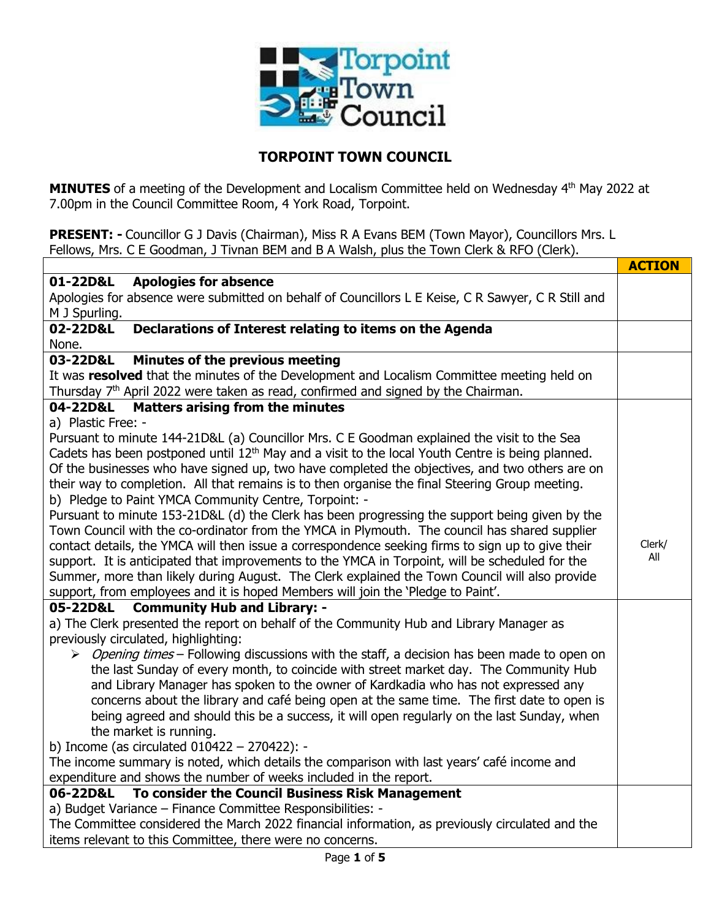

## **TORPOINT TOWN COUNCIL**

**MINUTES** of a meeting of the Development and Localism Committee held on Wednesday 4<sup>th</sup> May 2022 at 7.00pm in the Council Committee Room, 4 York Road, Torpoint.

**PRESENT: -** Councillor G J Davis (Chairman), Miss R A Evans BEM (Town Mayor), Councillors Mrs. L Fellows, Mrs. C E Goodman, J Tivnan BEM and B A Walsh, plus the Town Clerk & RFO (Clerk).

|                                                                                                              | <b>ACTION</b> |  |  |  |  |
|--------------------------------------------------------------------------------------------------------------|---------------|--|--|--|--|
| <b>Apologies for absence</b><br>01-22D&L                                                                     |               |  |  |  |  |
| Apologies for absence were submitted on behalf of Councillors L E Keise, C R Sawyer, C R Still and           |               |  |  |  |  |
| M J Spurling.                                                                                                |               |  |  |  |  |
| 02-22D&L<br>Declarations of Interest relating to items on the Agenda                                         |               |  |  |  |  |
| None.                                                                                                        |               |  |  |  |  |
| 03-22D&L<br>Minutes of the previous meeting                                                                  |               |  |  |  |  |
| It was resolved that the minutes of the Development and Localism Committee meeting held on                   |               |  |  |  |  |
| Thursday 7 <sup>th</sup> April 2022 were taken as read, confirmed and signed by the Chairman.                |               |  |  |  |  |
| <b>Matters arising from the minutes</b><br>04-22D&L                                                          |               |  |  |  |  |
| a) Plastic Free: -                                                                                           |               |  |  |  |  |
| Pursuant to minute 144-21D&L (a) Councillor Mrs. C E Goodman explained the visit to the Sea                  |               |  |  |  |  |
| Cadets has been postponed until 12 <sup>th</sup> May and a visit to the local Youth Centre is being planned. |               |  |  |  |  |
| Of the businesses who have signed up, two have completed the objectives, and two others are on               |               |  |  |  |  |
| their way to completion. All that remains is to then organise the final Steering Group meeting.              |               |  |  |  |  |
| b) Pledge to Paint YMCA Community Centre, Torpoint: -                                                        |               |  |  |  |  |
| Pursuant to minute 153-21D&L (d) the Clerk has been progressing the support being given by the               |               |  |  |  |  |
| Town Council with the co-ordinator from the YMCA in Plymouth. The council has shared supplier                |               |  |  |  |  |
| contact details, the YMCA will then issue a correspondence seeking firms to sign up to give their            | Clerk/        |  |  |  |  |
| support. It is anticipated that improvements to the YMCA in Torpoint, will be scheduled for the              | All           |  |  |  |  |
| Summer, more than likely during August. The Clerk explained the Town Council will also provide               |               |  |  |  |  |
| support, from employees and it is hoped Members will join the 'Pledge to Paint'.                             |               |  |  |  |  |
| 05-22D&L Community Hub and Library: -                                                                        |               |  |  |  |  |
| a) The Clerk presented the report on behalf of the Community Hub and Library Manager as                      |               |  |  |  |  |
| previously circulated, highlighting:                                                                         |               |  |  |  |  |
| > Opening times - Following discussions with the staff, a decision has been made to open on                  |               |  |  |  |  |
| the last Sunday of every month, to coincide with street market day. The Community Hub                        |               |  |  |  |  |
| and Library Manager has spoken to the owner of Kardkadia who has not expressed any                           |               |  |  |  |  |
| concerns about the library and café being open at the same time. The first date to open is                   |               |  |  |  |  |
| being agreed and should this be a success, it will open regularly on the last Sunday, when                   |               |  |  |  |  |
| the market is running.                                                                                       |               |  |  |  |  |
| b) Income (as circulated $010422 - 270422$ ): -                                                              |               |  |  |  |  |
| The income summary is noted, which details the comparison with last years' café income and                   |               |  |  |  |  |
| expenditure and shows the number of weeks included in the report.                                            |               |  |  |  |  |
| 06-22D&L To consider the Council Business Risk Management                                                    |               |  |  |  |  |
| a) Budget Variance - Finance Committee Responsibilities: -                                                   |               |  |  |  |  |
| The Committee considered the March 2022 financial information, as previously circulated and the              |               |  |  |  |  |
| items relevant to this Committee, there were no concerns.                                                    |               |  |  |  |  |
| $D = -1$ $A = 0$                                                                                             |               |  |  |  |  |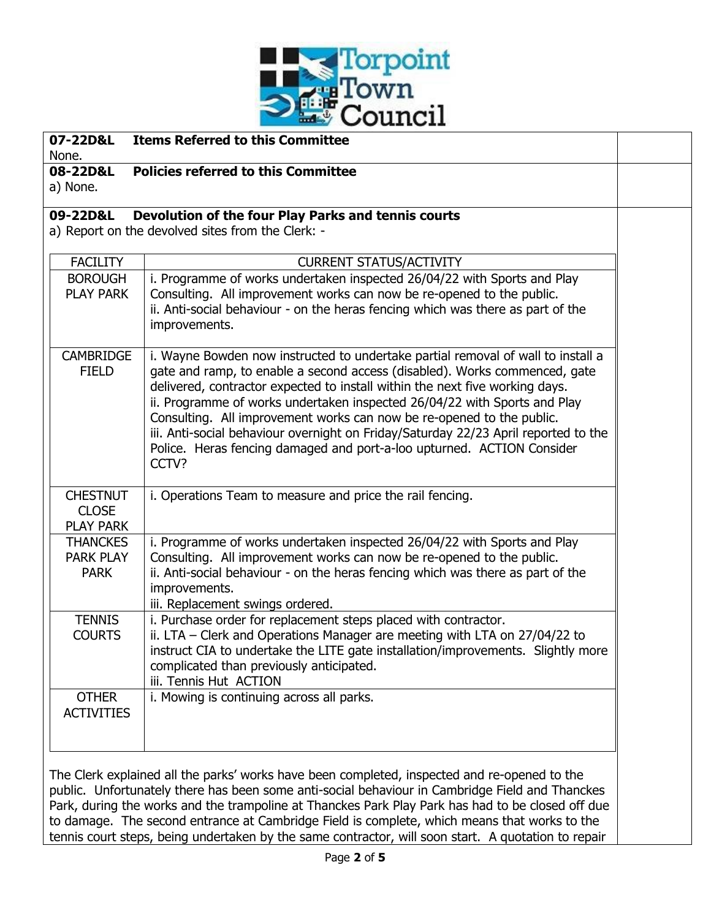

| 07-22D&L                        | <b>Items Referred to this Committee</b>                                                                                                                  |  |
|---------------------------------|----------------------------------------------------------------------------------------------------------------------------------------------------------|--|
| None.                           |                                                                                                                                                          |  |
| 08-22D&L                        | <b>Policies referred to this Committee</b>                                                                                                               |  |
| a) None.                        |                                                                                                                                                          |  |
| 09-22D&L                        | Devolution of the four Play Parks and tennis courts                                                                                                      |  |
|                                 | a) Report on the devolved sites from the Clerk: -                                                                                                        |  |
|                                 |                                                                                                                                                          |  |
| <b>FACILITY</b>                 | <b>CURRENT STATUS/ACTIVITY</b>                                                                                                                           |  |
| <b>BOROUGH</b>                  | i. Programme of works undertaken inspected 26/04/22 with Sports and Play                                                                                 |  |
| <b>PLAY PARK</b>                | Consulting. All improvement works can now be re-opened to the public.                                                                                    |  |
|                                 | ii. Anti-social behaviour - on the heras fencing which was there as part of the                                                                          |  |
|                                 | improvements.                                                                                                                                            |  |
| <b>CAMBRIDGE</b>                | i. Wayne Bowden now instructed to undertake partial removal of wall to install a                                                                         |  |
| <b>FIELD</b>                    | gate and ramp, to enable a second access (disabled). Works commenced, gate                                                                               |  |
|                                 | delivered, contractor expected to install within the next five working days.                                                                             |  |
|                                 | ii. Programme of works undertaken inspected 26/04/22 with Sports and Play                                                                                |  |
|                                 | Consulting. All improvement works can now be re-opened to the public.                                                                                    |  |
|                                 | iii. Anti-social behaviour overnight on Friday/Saturday 22/23 April reported to the                                                                      |  |
|                                 | Police. Heras fencing damaged and port-a-loo upturned. ACTION Consider                                                                                   |  |
|                                 | CCTV?                                                                                                                                                    |  |
|                                 |                                                                                                                                                          |  |
| <b>CHESTNUT</b>                 | i. Operations Team to measure and price the rail fencing.                                                                                                |  |
| <b>CLOSE</b>                    |                                                                                                                                                          |  |
| <b>PLAY PARK</b>                |                                                                                                                                                          |  |
| <b>THANCKES</b>                 | i. Programme of works undertaken inspected 26/04/22 with Sports and Play                                                                                 |  |
| <b>PARK PLAY</b><br><b>PARK</b> | Consulting. All improvement works can now be re-opened to the public.<br>ii. Anti-social behaviour - on the heras fencing which was there as part of the |  |
|                                 | improvements.                                                                                                                                            |  |
|                                 | iii. Replacement swings ordered.                                                                                                                         |  |
| <b>TENNIS</b>                   | i. Purchase order for replacement steps placed with contractor.                                                                                          |  |
| <b>COURTS</b>                   | ii. LTA - Clerk and Operations Manager are meeting with LTA on 27/04/22 to                                                                               |  |
|                                 | instruct CIA to undertake the LITE gate installation/improvements. Slightly more                                                                         |  |
|                                 | complicated than previously anticipated.                                                                                                                 |  |
|                                 | iii. Tennis Hut ACTION                                                                                                                                   |  |
| <b>OTHER</b>                    | i. Mowing is continuing across all parks.                                                                                                                |  |
| <b>ACTIVITIES</b>               |                                                                                                                                                          |  |
|                                 |                                                                                                                                                          |  |
|                                 |                                                                                                                                                          |  |
|                                 |                                                                                                                                                          |  |
|                                 | The Clerk explained all the parks' works have been completed, inspected and re-opened to the                                                             |  |
|                                 | public. Unfortunately there has been some anti-social behaviour in Cambridge Field and Thanckes                                                          |  |

public. Unfortunately there has been some anti-social behaviour in Cambridge Field and Thanckes Park, during the works and the trampoline at Thanckes Park Play Park has had to be closed off due to damage. The second entrance at Cambridge Field is complete, which means that works to the tennis court steps, being undertaken by the same contractor, will soon start. A quotation to repair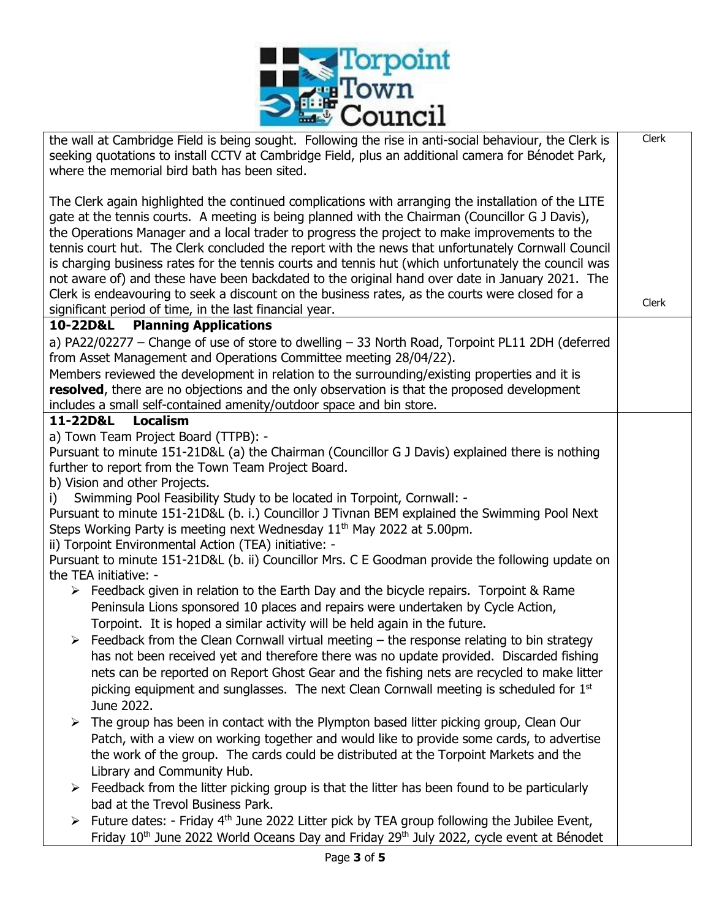

| <b>EXAMPLE OF STRAIGHT</b>                                                                                                                                                                                                                                                                                                                                                                                                                                                                                                                                                                                                                                                                                                  |       |
|-----------------------------------------------------------------------------------------------------------------------------------------------------------------------------------------------------------------------------------------------------------------------------------------------------------------------------------------------------------------------------------------------------------------------------------------------------------------------------------------------------------------------------------------------------------------------------------------------------------------------------------------------------------------------------------------------------------------------------|-------|
| the wall at Cambridge Field is being sought. Following the rise in anti-social behaviour, the Clerk is<br>seeking quotations to install CCTV at Cambridge Field, plus an additional camera for Bénodet Park,<br>where the memorial bird bath has been sited.                                                                                                                                                                                                                                                                                                                                                                                                                                                                | Clerk |
| The Clerk again highlighted the continued complications with arranging the installation of the LITE<br>gate at the tennis courts. A meeting is being planned with the Chairman (Councillor G J Davis),<br>the Operations Manager and a local trader to progress the project to make improvements to the<br>tennis court hut. The Clerk concluded the report with the news that unfortunately Cornwall Council<br>is charging business rates for the tennis courts and tennis hut (which unfortunately the council was<br>not aware of) and these have been backdated to the original hand over date in January 2021. The<br>Clerk is endeavouring to seek a discount on the business rates, as the courts were closed for a |       |
| significant period of time, in the last financial year.                                                                                                                                                                                                                                                                                                                                                                                                                                                                                                                                                                                                                                                                     | Clerk |
| 10-22D&L Planning Applications                                                                                                                                                                                                                                                                                                                                                                                                                                                                                                                                                                                                                                                                                              |       |
| a) PA22/02277 - Change of use of store to dwelling - 33 North Road, Torpoint PL11 2DH (deferred<br>from Asset Management and Operations Committee meeting 28/04/22).<br>Members reviewed the development in relation to the surrounding/existing properties and it is<br>resolved, there are no objections and the only observation is that the proposed development<br>includes a small self-contained amenity/outdoor space and bin store.                                                                                                                                                                                                                                                                                |       |
| 11-22D&L<br><b>Localism</b>                                                                                                                                                                                                                                                                                                                                                                                                                                                                                                                                                                                                                                                                                                 |       |
| a) Town Team Project Board (TTPB): -<br>Pursuant to minute 151-21D&L (a) the Chairman (Councillor G J Davis) explained there is nothing<br>further to report from the Town Team Project Board.<br>b) Vision and other Projects.                                                                                                                                                                                                                                                                                                                                                                                                                                                                                             |       |
| Swimming Pool Feasibility Study to be located in Torpoint, Cornwall: -<br>i) -<br>Pursuant to minute 151-21D&L (b. i.) Councillor J Tivnan BEM explained the Swimming Pool Next<br>Steps Working Party is meeting next Wednesday 11 <sup>th</sup> May 2022 at 5.00pm.                                                                                                                                                                                                                                                                                                                                                                                                                                                       |       |
| ii) Torpoint Environmental Action (TEA) initiative: -<br>Pursuant to minute 151-21D&L (b. ii) Councillor Mrs. C E Goodman provide the following update on<br>the TEA initiative: -                                                                                                                                                                                                                                                                                                                                                                                                                                                                                                                                          |       |
| $\triangleright$ Feedback given in relation to the Earth Day and the bicycle repairs. Torpoint & Rame<br>Peninsula Lions sponsored 10 places and repairs were undertaken by Cycle Action,<br>Torpoint. It is hoped a similar activity will be held again in the future.                                                                                                                                                                                                                                                                                                                                                                                                                                                     |       |
| $\triangleright$ Feedback from the Clean Cornwall virtual meeting – the response relating to bin strategy<br>has not been received yet and therefore there was no update provided. Discarded fishing<br>nets can be reported on Report Ghost Gear and the fishing nets are recycled to make litter<br>picking equipment and sunglasses. The next Clean Cornwall meeting is scheduled for 1 <sup>st</sup><br>June 2022.                                                                                                                                                                                                                                                                                                      |       |
| The group has been in contact with the Plympton based litter picking group, Clean Our<br>➤<br>Patch, with a view on working together and would like to provide some cards, to advertise<br>the work of the group. The cards could be distributed at the Torpoint Markets and the<br>Library and Community Hub.                                                                                                                                                                                                                                                                                                                                                                                                              |       |
| $\triangleright$ Feedback from the litter picking group is that the litter has been found to be particularly<br>bad at the Trevol Business Park.                                                                                                                                                                                                                                                                                                                                                                                                                                                                                                                                                                            |       |
| Future dates: - Friday 4 <sup>th</sup> June 2022 Litter pick by TEA group following the Jubilee Event,<br>➤<br>Friday 10 <sup>th</sup> June 2022 World Oceans Day and Friday 29 <sup>th</sup> July 2022, cycle event at Bénodet                                                                                                                                                                                                                                                                                                                                                                                                                                                                                             |       |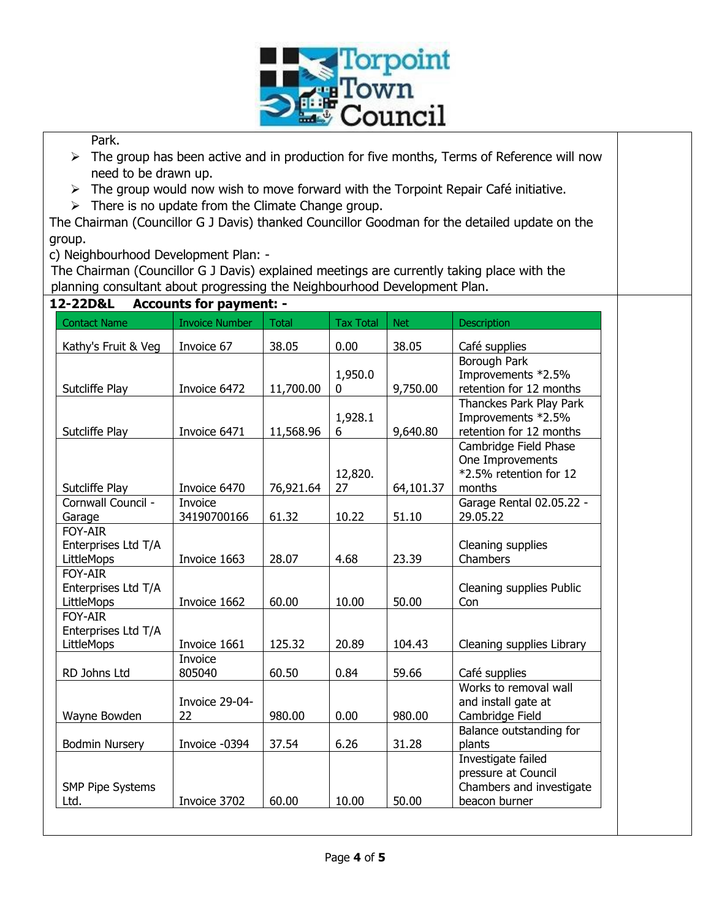

Park.

- $\triangleright$  The group has been active and in production for five months, Terms of Reference will now need to be drawn up.
- $\triangleright$  The group would now wish to move forward with the Torpoint Repair Café initiative.
- $\triangleright$  There is no update from the Climate Change group.

The Chairman (Councillor G J Davis) thanked Councillor Goodman for the detailed update on the group.

c) Neighbourhood Development Plan: -

The Chairman (Councillor G J Davis) explained meetings are currently taking place with the planning consultant about progressing the Neighbourhood Development Plan.

**12-22D&L Accounts for payment: -**

| <b>Contact Name</b>                                 | <b>Invoice Number</b>  | <b>Total</b> | <b>Tax Total</b>    | <b>Net</b> | <b>Description</b>                                                                     |
|-----------------------------------------------------|------------------------|--------------|---------------------|------------|----------------------------------------------------------------------------------------|
| Kathy's Fruit & Veg                                 | Invoice 67             | 38.05        | 0.00                | 38.05      | Café supplies                                                                          |
| Sutcliffe Play                                      | Invoice 6472           | 11,700.00    | 1,950.0<br>$\Omega$ | 9,750.00   | Borough Park<br>Improvements *2.5%<br>retention for 12 months                          |
| Sutcliffe Play                                      | Invoice 6471           | 11,568.96    | 1,928.1<br>6        | 9,640.80   | Thanckes Park Play Park<br>Improvements *2.5%<br>retention for 12 months               |
| Sutcliffe Play                                      | Invoice 6470           | 76,921.64    | 12,820.<br>27       | 64,101.37  | Cambridge Field Phase<br>One Improvements<br>*2.5% retention for 12<br>months          |
| Cornwall Council -<br>Garage                        | Invoice<br>34190700166 | 61.32        | 10.22               | 51.10      | Garage Rental 02.05.22 -<br>29.05.22                                                   |
| FOY-AIR<br>Enterprises Ltd T/A<br>LittleMops        | Invoice 1663           | 28.07        | 4.68                | 23.39      | Cleaning supplies<br>Chambers                                                          |
| FOY-AIR<br>Enterprises Ltd T/A<br>LittleMops        | Invoice 1662           | 60.00        | 10.00               | 50.00      | Cleaning supplies Public<br>Con                                                        |
| <b>FOY-AIR</b><br>Enterprises Ltd T/A<br>LittleMops | Invoice 1661           | 125.32       | 20.89               | 104.43     | Cleaning supplies Library                                                              |
| RD Johns Ltd                                        | Invoice<br>805040      | 60.50        | 0.84                | 59.66      | Café supplies                                                                          |
| Wayne Bowden                                        | Invoice 29-04-<br>22   | 980.00       | 0.00                | 980.00     | Works to removal wall<br>and install gate at<br>Cambridge Field                        |
| <b>Bodmin Nursery</b>                               | Invoice -0394          | 37.54        | 6.26                | 31.28      | Balance outstanding for<br>plants                                                      |
| <b>SMP Pipe Systems</b><br>Ltd.                     | Invoice 3702           | 60.00        | 10.00               | 50.00      | Investigate failed<br>pressure at Council<br>Chambers and investigate<br>beacon burner |